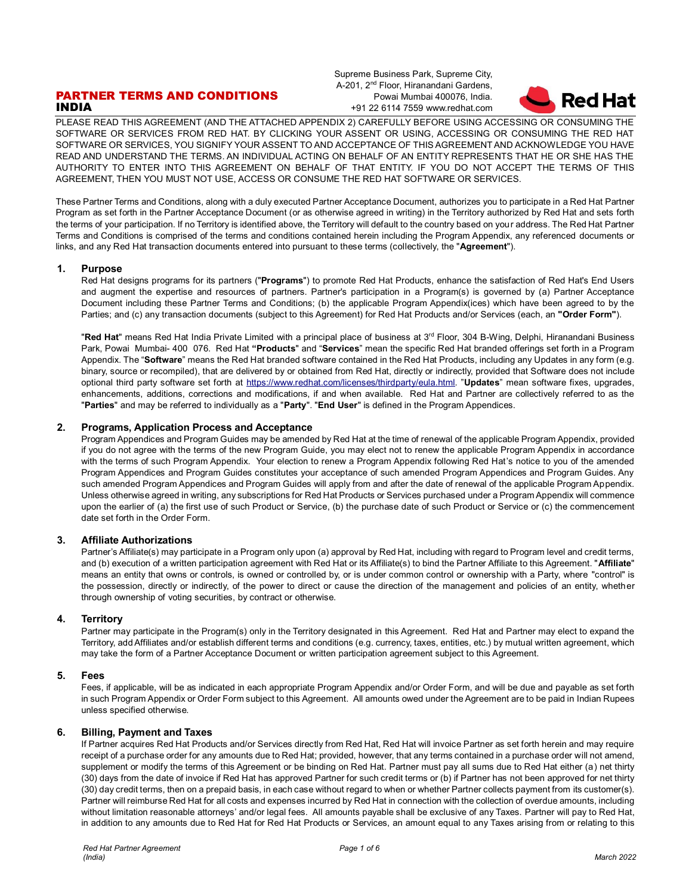# PARTNER TERMS AND CONDITIONS INDIA

Supreme Business Park, Supreme City, A-201, 2<sup>nd</sup> Floor, Hiranandani Gardens, Powai Mumbai 400076, India. +91 22 6114 7559 www.redhat.com



PLEASE READ THIS AGREEMENT (AND THE ATTACHED APPENDIX 2) CAREFULLY BEFORE USING ACCESSING OR CONSUMING THE SOFTWARE OR SERVICES FROM RED HAT. BY CLICKING YOUR ASSENT OR USING, ACCESSING OR CONSUMING THE RED HAT SOFTWARE OR SERVICES, YOU SIGNIFY YOUR ASSENT TO AND ACCEPTANCE OF THIS AGREEMENT AND ACKNOWLEDGE YOU HAVE READ AND UNDERSTAND THE TERMS. AN INDIVIDUAL ACTING ON BEHALF OF AN ENTITY REPRESENTS THAT HE OR SHE HAS THE AUTHORITY TO ENTER INTO THIS AGREEMENT ON BEHALF OF THAT ENTITY. IF YOU DO NOT ACCEPT THE TERMS OF THIS AGREEMENT, THEN YOU MUST NOT USE, ACCESS OR CONSUME THE RED HAT SOFTWARE OR SERVICES.

These Partner Terms and Conditions, along with a duly executed Partner Acceptance Document, authorizes you to participate in a Red Hat Partner Program as set forth in the Partner Acceptance Document (or as otherwise agreed in writing) in the Territory authorized by Red Hat and sets forth the terms of your participation. If no Territory is identified above, the Territory will default to the country based on your address. The Red Hat Partner Terms and Conditions is comprised of the terms and conditions contained herein including the Program Appendix, any referenced documents or links, and any Red Hat transaction documents entered into pursuant to these terms (collectively, the "**Agreement**").

## **1. Purpose**

Red Hat designs programs for its partners ("**Programs**") to promote Red Hat Products, enhance the satisfaction of Red Hat's End Users and augment the expertise and resources of partners. Partner's participation in a Program(s) is governed by (a) Partner Acceptance Document including these Partner Terms and Conditions; (b) the applicable Program Appendix(ices) which have been agreed to by the Parties; and (c) any transaction documents (subject to this Agreement) for Red Hat Products and/or Services (each, an **"Order Form"**).

"**Red Hat**" means Red Hat India Private Limited with a principal place of business at 3<sup>rd</sup> Floor, 304 B-Wing, Delphi, Hiranandani Business Park, Powai Mumbai- 400 076. Red Hat **"Products**" and "**Services**" mean the specific Red Hat branded offerings set forth in a Program Appendix. The "**Software**" means the Red Hat branded software contained in the Red Hat Products, including any Updates in any form (e.g. binary, source or recompiled), that are delivered by or obtained from Red Hat, directly or indirectly, provided that Software does not include optional third party software set forth at [https://www.redhat.com/licenses/thirdparty/eula.html.](https://www.redhat.com/licenses/thirdparty/eula.html) "**Updates**" mean software fixes, upgrades, enhancements, additions, corrections and modifications, if and when available. Red Hat and Partner are collectively referred to as the "**Parties**" and may be referred to individually as a "**Party**". "**End User**" is defined in the Program Appendices.

# **2. Programs, Application Process and Acceptance**

Program Appendices and Program Guides may be amended by Red Hat at the time of renewal of the applicable Program Appendix, provided if you do not agree with the terms of the new Program Guide, you may elect not to renew the applicable Program Appendix in accordance with the terms of such Program Appendix. Your election to renew a Program Appendix following Red Hat's notice to you of the amended Program Appendices and Program Guides constitutes your acceptance of such amended Program Appendices and Program Guides. Any such amended Program Appendices and Program Guides will apply from and after the date of renewal of the applicable Program Appendix. Unless otherwise agreed in writing, any subscriptions for Red Hat Products or Services purchased under a Program Appendix will commence upon the earlier of (a) the first use of such Product or Service, (b) the purchase date of such Product or Service or (c) the commencement date set forth in the Order Form.

## **3. Affiliate Authorizations**

Partner's Affiliate(s) may participate in a Program only upon (a) approval by Red Hat, including with regard to Program level and credit terms, and (b) execution of a written participation agreement with Red Hat or its Affiliate(s) to bind the Partner Affiliate to this Agreement. "**Affiliate**" means an entity that owns or controls, is owned or controlled by, or is under common control or ownership with a Party, where "control" is the possession, directly or indirectly, of the power to direct or cause the direction of the management and policies of an entity, whether through ownership of voting securities, by contract or otherwise.

#### **4. Territory**

Partner may participate in the Program(s) only in the Territory designated in this Agreement. Red Hat and Partner may elect to expand the Territory, add Affiliates and/or establish different terms and conditions (e.g. currency, taxes, entities, etc.) by mutual written agreement, which may take the form of a Partner Acceptance Document or written participation agreement subject to this Agreement.

### **5. Fees**

Fees, if applicable, will be as indicated in each appropriate Program Appendix and/or Order Form, and will be due and payable as set forth in such Program Appendix or Order Form subject to this Agreement. All amounts owed under the Agreement are to be paid in Indian Rupees unless specified otherwise.

## **6. Billing, Payment and Taxes**

If Partner acquires Red Hat Products and/or Services directly from Red Hat, Red Hat will invoice Partner as set forth herein and may require receipt of a purchase order for any amounts due to Red Hat; provided, however, that any terms contained in a purchase order will not amend, supplement or modify the terms of this Agreement or be binding on Red Hat. Partner must pay all sums due to Red Hat either (a) net thirty (30) days from the date of invoice if Red Hat has approved Partner for such credit terms or (b) if Partner has not been approved for net thirty (30) day credit terms, then on a prepaid basis, in each case without regard to when or whether Partner collects payment from its customer(s). Partner will reimburse Red Hat for all costs and expenses incurred by Red Hat in connection with the collection of overdue amounts, including without limitation reasonable attorneys' and/or legal fees. All amounts payable shall be exclusive of any Taxes. Partner will pay to Red Hat, in addition to any amounts due to Red Hat for Red Hat Products or Services, an amount equal to any Taxes arising from or relating to this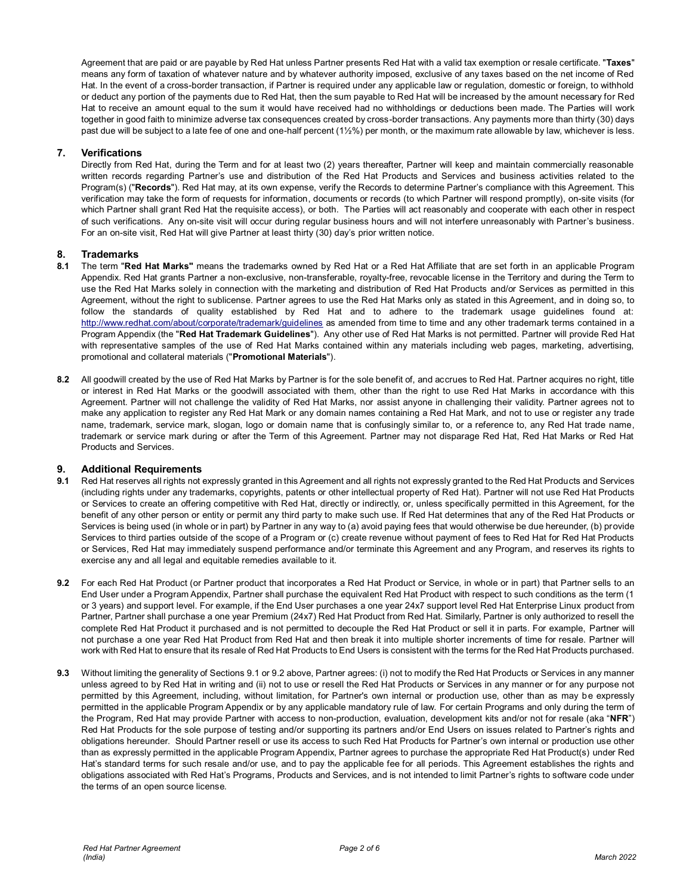Agreement that are paid or are payable by Red Hat unless Partner presents Red Hat with a valid tax exemption or resale certificate. "**Taxes**" means any form of taxation of whatever nature and by whatever authority imposed, exclusive of any taxes based on the net income of Red Hat. In the event of a cross-border transaction, if Partner is required under any applicable law or regulation, domestic or foreign, to withhold or deduct any portion of the payments due to Red Hat, then the sum payable to Red Hat will be increased by the amount necessary for Red Hat to receive an amount equal to the sum it would have received had no withholdings or deductions been made. The Parties will work together in good faith to minimize adverse tax consequences created by cross-border transactions. Any payments more than thirty (30) days past due will be subject to a late fee of one and one-half percent (1½%) per month, or the maximum rate allowable by law, whichever is less.

# **7. Verifications**

Directly from Red Hat, during the Term and for at least two (2) years thereafter, Partner will keep and maintain commercially reasonable written records regarding Partner's use and distribution of the Red Hat Products and Services and business activities related to the Program(s) ("**Records**"). Red Hat may, at its own expense, verify the Records to determine Partner's compliance with this Agreement. This verification may take the form of requests for information, documents or records (to which Partner will respond promptly), on-site visits (for which Partner shall grant Red Hat the requisite access), or both. The Parties will act reasonably and cooperate with each other in respect of such verifications. Any on-site visit will occur during regular business hours and will not interfere unreasonably with Partner's business. For an on-site visit, Red Hat will give Partner at least thirty (30) day's prior written notice.

# **8. Trademarks**

- **8.1** The term "**Red Hat Marks"** means the trademarks owned by Red Hat or a Red Hat Affiliate that are set forth in an applicable Program Appendix. Red Hat grants Partner a non-exclusive, non-transferable, royalty-free, revocable license in the Territory and during the Term to use the Red Hat Marks solely in connection with the marketing and distribution of Red Hat Products and/or Services as permitted in this Agreement, without the right to sublicense. Partner agrees to use the Red Hat Marks only as stated in this Agreement, and in doing so, to follow the standards of quality established by Red Hat and to adhere to the trademark usage guidelines found at: <http://www.redhat.com/about/corporate/trademark/guidelines> as amended from time to time and any other trademark terms contained in a Program Appendix (the "**Red Hat Trademark Guidelines**"). Any other use of Red Hat Marks is not permitted. Partner will provide Red Hat with representative samples of the use of Red Hat Marks contained within any materials including web pages, marketing, advertising, promotional and collateral materials ("**Promotional Materials**").
- **8.2** All goodwill created by the use of Red Hat Marks by Partner is for the sole benefit of, and accrues to Red Hat. Partner acquires no right, title or interest in Red Hat Marks or the goodwill associated with them, other than the right to use Red Hat Marks in accordance with this Agreement. Partner will not challenge the validity of Red Hat Marks, nor assist anyone in challenging their validity. Partner agrees not to make any application to register any Red Hat Mark or any domain names containing a Red Hat Mark, and not to use or register any trade name, trademark, service mark, slogan, logo or domain name that is confusingly similar to, or a reference to, any Red Hat trade name, trademark or service mark during or after the Term of this Agreement. Partner may not disparage Red Hat, Red Hat Marks or Red Hat Products and Services.

## **9. Additional Requirements**

- **9.1** Red Hat reserves all rights not expressly granted in this Agreement and all rights not expressly granted to the Red Hat Products and Services (including rights under any trademarks, copyrights, patents or other intellectual property of Red Hat). Partner will not use Red Hat Products or Services to create an offering competitive with Red Hat, directly or indirectly, or, unless specifically permitted in this Agreement, for the benefit of any other person or entity or permit any third party to make such use. If Red Hat determines that any of the Red Hat Products or Services is being used (in whole or in part) by Partner in any way to (a) avoid paying fees that would otherwise be due hereunder, (b) provide Services to third parties outside of the scope of a Program or (c) create revenue without payment of fees to Red Hat for Red Hat Products or Services, Red Hat may immediately suspend performance and/or terminate this Agreement and any Program, and reserves its rights to exercise any and all legal and equitable remedies available to it.
- **9.2** For each Red Hat Product (or Partner product that incorporates a Red Hat Product or Service, in whole or in part) that Partner sells to an End User under a Program Appendix, Partner shall purchase the equivalent Red Hat Product with respect to such conditions as the term (1 or 3 years) and support level. For example, if the End User purchases a one year 24x7 support level Red Hat Enterprise Linux product from Partner, Partner shall purchase a one year Premium (24x7) Red Hat Product from Red Hat. Similarly, Partner is only authorized to resell the complete Red Hat Product it purchased and is not permitted to decouple the Red Hat Product or sell it in parts. For example, Partner will not purchase a one year Red Hat Product from Red Hat and then break it into multiple shorter increments of time for resale. Partner will work with Red Hat to ensure that its resale of Red Hat Products to End Users is consistent with the terms for the Red Hat Products purchased.
- **9.3** Without limiting the generality of Sections 9.1 or 9.2 above, Partner agrees: (i) not to modify the Red Hat Products or Services in any manner unless agreed to by Red Hat in writing and (ii) not to use or resell the Red Hat Products or Services in any manner or for any purpose not permitted by this Agreement, including, without limitation, for Partner's own internal or production use, other than as may be expressly permitted in the applicable Program Appendix or by any applicable mandatory rule of law. For certain Programs and only during the term of the Program, Red Hat may provide Partner with access to non-production, evaluation, development kits and/or not for resale (aka "**NFR**") Red Hat Products for the sole purpose of testing and/or supporting its partners and/or End Users on issues related to Partner's rights and obligations hereunder. Should Partner resell or use its access to such Red Hat Products for Partner's own internal or production use other than as expressly permitted in the applicable Program Appendix, Partner agrees to purchase the appropriate Red Hat Product(s) under Red Hat's standard terms for such resale and/or use, and to pay the applicable fee for all periods. This Agreement establishes the rights and obligations associated with Red Hat's Programs, Products and Services, and is not intended to limit Partner's rights to software code under the terms of an open source license.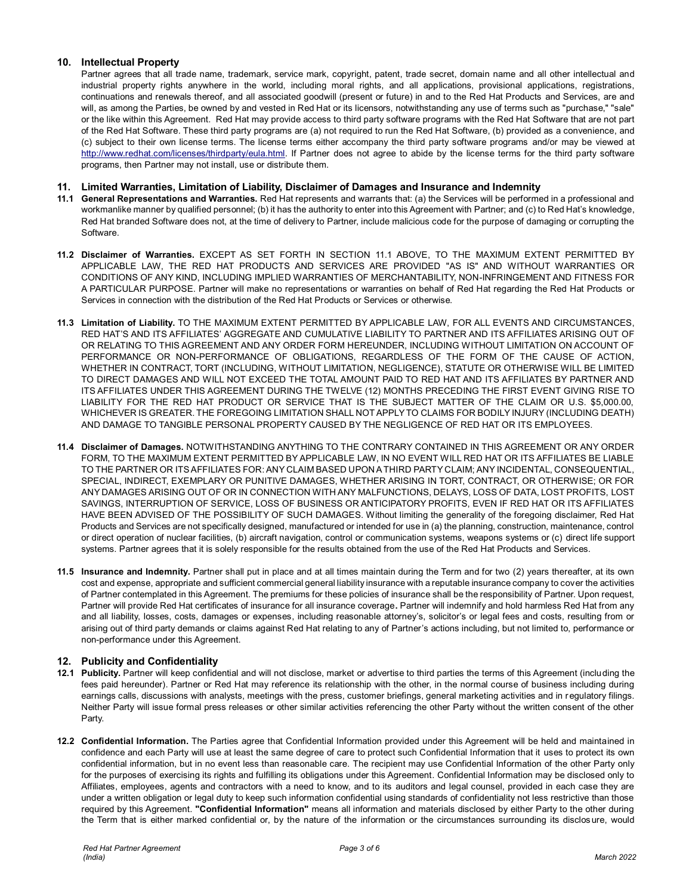# **10. Intellectual Property**

Partner agrees that all trade name, trademark, service mark, copyright, patent, trade secret, domain name and all other intellectual and industrial property rights anywhere in the world, including moral rights, and all applications, provisional applications, registrations, continuations and renewals thereof, and all associated goodwill (present or future) in and to the Red Hat Products and Services, are and will, as among the Parties, be owned by and vested in Red Hat or its licensors, notwithstanding any use of terms such as "purchase," "sale" or the like within this Agreement. Red Hat may provide access to third party software programs with the Red Hat Software that are not part of the Red Hat Software. These third party programs are (a) not required to run the Red Hat Software, (b) provided as a convenience, and (c) subject to their own license terms. The license terms either accompany the third party software programs and/or may be viewed at [http://www.redhat.com/licenses/thirdparty/eula.html.](http://www.redhat.com/licenses/thirdparty/eula.html) If Partner does not agree to abide by the license terms for the third party software programs, then Partner may not install, use or distribute them.

## **11. Limited Warranties, Limitation of Liability, Disclaimer of Damages and Insurance and Indemnity**

- **11.1 General Representations and Warranties.** Red Hat represents and warrants that: (a) the Services will be performed in a professional and workmanlike manner by qualified personnel; (b) it has the authority to enter into this Agreement with Partner; and (c) to Red Hat's knowledge, Red Hat branded Software does not, at the time of delivery to Partner, include malicious code for the purpose of damaging or corrupting the Software.
- **11.2 Disclaimer of Warranties.** EXCEPT AS SET FORTH IN SECTION 11.1 ABOVE, TO THE MAXIMUM EXTENT PERMITTED BY APPLICABLE LAW, THE RED HAT PRODUCTS AND SERVICES ARE PROVIDED "AS IS" AND WITHOUT WARRANTIES OR CONDITIONS OF ANY KIND, INCLUDING IMPLIED WARRANTIES OF MERCHANTABILITY, NON-INFRINGEMENT AND FITNESS FOR A PARTICULAR PURPOSE. Partner will make no representations or warranties on behalf of Red Hat regarding the Red Hat Products or Services in connection with the distribution of the Red Hat Products or Services or otherwise.
- **11.3 Limitation of Liability.** TO THE MAXIMUM EXTENT PERMITTED BY APPLICABLE LAW, FOR ALL EVENTS AND CIRCUMSTANCES, RED HAT'S AND ITS AFFILIATES' AGGREGATE AND CUMULATIVE LIABILITY TO PARTNER AND ITS AFFILIATES ARISING OUT OF OR RELATING TO THIS AGREEMENT AND ANY ORDER FORM HEREUNDER, INCLUDING WITHOUT LIMITATION ON ACCOUNT OF PERFORMANCE OR NON-PERFORMANCE OF OBLIGATIONS, REGARDLESS OF THE FORM OF THE CAUSE OF ACTION, WHETHER IN CONTRACT, TORT (INCLUDING, WITHOUT LIMITATION, NEGLIGENCE), STATUTE OR OTHERWISE WILL BE LIMITED TO DIRECT DAMAGES AND WILL NOT EXCEED THE TOTAL AMOUNT PAID TO RED HAT AND ITS AFFILIATES BY PARTNER AND ITS AFFILIATES UNDER THIS AGREEMENT DURING THE TWELVE (12) MONTHS PRECEDING THE FIRST EVENT GIVING RISE TO LIABILITY FOR THE RED HAT PRODUCT OR SERVICE THAT IS THE SUBJECT MATTER OF THE CLAIM OR U.S. \$5,000.00, WHICHEVER IS GREATER. THE FOREGOING LIMITATION SHALL NOT APPLY TO CLAIMS FOR BODILY INJURY (INCLUDING DEATH) AND DAMAGE TO TANGIBLE PERSONAL PROPERTY CAUSED BY THE NEGLIGENCE OF RED HAT OR ITS EMPLOYEES.
- **11.4 Disclaimer of Damages.** NOTWITHSTANDING ANYTHING TO THE CONTRARY CONTAINED IN THIS AGREEMENT OR ANY ORDER FORM, TO THE MAXIMUM EXTENT PERMITTED BY APPLICABLE LAW, IN NO EVENT WILL RED HAT OR ITS AFFILIATES BE LIABLE TO THE PARTNER OR ITS AFFILIATES FOR: ANY CLAIM BASED UPON A THIRD PARTY CLAIM; ANY INCIDENTAL, CONSEQUENTIAL, SPECIAL, INDIRECT, EXEMPLARY OR PUNITIVE DAMAGES, WHETHER ARISING IN TORT, CONTRACT, OR OTHERWISE; OR FOR ANY DAMAGES ARISING OUT OF OR IN CONNECTION WITH ANY MALFUNCTIONS, DELAYS, LOSS OF DATA, LOST PROFITS, LOST SAVINGS, INTERRUPTION OF SERVICE, LOSS OF BUSINESS OR ANTICIPATORY PROFITS, EVEN IF RED HAT OR ITS AFFILIATES HAVE BEEN ADVISED OF THE POSSIBILITY OF SUCH DAMAGES. Without limiting the generality of the foregoing disclaimer, Red Hat Products and Services are not specifically designed, manufactured or intended for use in (a) the planning, construction, maintenance, control or direct operation of nuclear facilities, (b) aircraft navigation, control or communication systems, weapons systems or (c) direct life support systems. Partner agrees that it is solely responsible for the results obtained from the use of the Red Hat Products and Services.
- **11.5 Insurance and Indemnity.** Partner shall put in place and at all times maintain during the Term and for two (2) years thereafter, at its own cost and expense, appropriate and sufficient commercial general liability insurance with a reputable insurance company to cover the activities of Partner contemplated in this Agreement. The premiums for these policies of insurance shall be the responsibility of Partner. Upon request, Partner will provide Red Hat certificates of insurance for all insurance coverage**.** Partner will indemnify and hold harmless Red Hat from any and all liability, losses, costs, damages or expenses, including reasonable attorney's, solicitor's or legal fees and costs, resulting from or arising out of third party demands or claims against Red Hat relating to any of Partner's actions including, but not limited to, performance or non-performance under this Agreement.

# **12. Publicity and Confidentiality**

- **12.1 Publicity.** Partner will keep confidential and will not disclose, market or advertise to third parties the terms of this Agreement (including the fees paid hereunder). Partner or Red Hat may reference its relationship with the other, in the normal course of business including during earnings calls, discussions with analysts, meetings with the press, customer briefings, general marketing activities and in regulatory filings. Neither Party will issue formal press releases or other similar activities referencing the other Party without the written consent of the other Party.
- **12.2 Confidential Information.** The Parties agree that Confidential Information provided under this Agreement will be held and maintained in confidence and each Party will use at least the same degree of care to protect such Confidential Information that it uses to protect its own confidential information, but in no event less than reasonable care. The recipient may use Confidential Information of the other Party only for the purposes of exercising its rights and fulfilling its obligations under this Agreement. Confidential Information may be disclosed only to Affiliates, employees, agents and contractors with a need to know, and to its auditors and legal counsel, provided in each case they are under a written obligation or legal duty to keep such information confidential using standards of confidentiality not less restrictive than those required by this Agreement. **"Confidential Information"** means all information and materials disclosed by either Party to the other during the Term that is either marked confidential or, by the nature of the information or the circumstances surrounding its disclos ure, would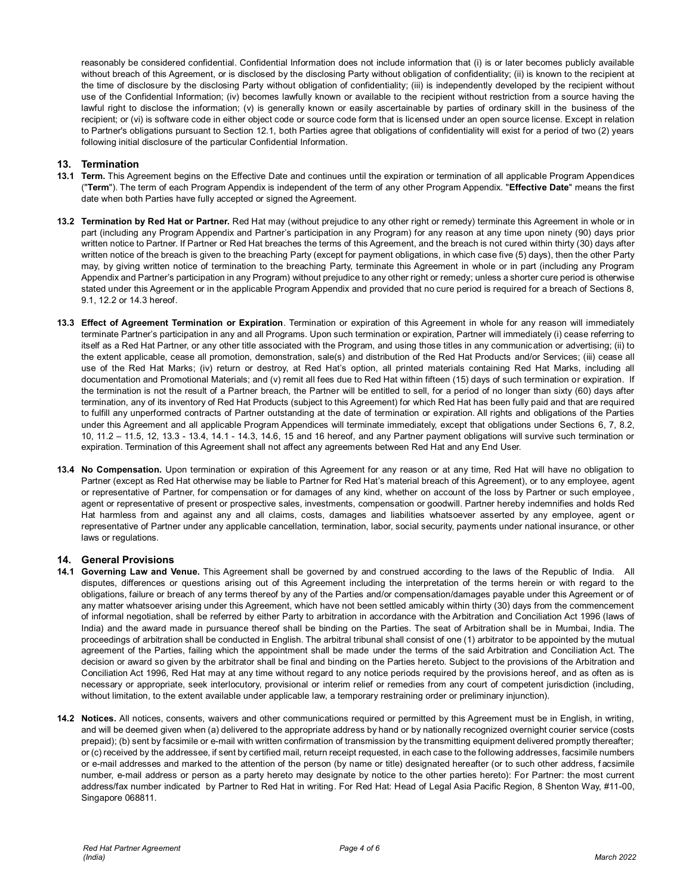reasonably be considered confidential. Confidential Information does not include information that (i) is or later becomes publicly available without breach of this Agreement, or is disclosed by the disclosing Party without obligation of confidentiality; (ii) is known to the recipient at the time of disclosure by the disclosing Party without obligation of confidentiality; (iii) is independently developed by the recipient without use of the Confidential Information; (iv) becomes lawfully known or available to the recipient without restriction from a source having the lawful right to disclose the information; (v) is generally known or easily ascertainable by parties of ordinary skill in the business of the recipient; or (vi) is software code in either object code or source code form that is licensed under an open source license. Except in relation to Partner's obligations pursuant to Section 12.1, both Parties agree that obligations of confidentiality will exist for a period of two (2) years following initial disclosure of the particular Confidential Information.

## **13. Termination**

- **13.1 Term.** This Agreement begins on the Effective Date and continues until the expiration or termination of all applicable Program Appendices ("**Term**"). The term of each Program Appendix is independent of the term of any other Program Appendix. "**Effective Date**" means the first date when both Parties have fully accepted or signed the Agreement.
- **13.2 Termination by Red Hat or Partner.** Red Hat may (without prejudice to any other right or remedy) terminate this Agreement in whole or in part (including any Program Appendix and Partner's participation in any Program) for any reason at any time upon ninety (90) days prior written notice to Partner. If Partner or Red Hat breaches the terms of this Agreement, and the breach is not cured within thirty (30) days after written notice of the breach is given to the breaching Party (except for payment obligations, in which case five (5) days), then the other Party may, by giving written notice of termination to the breaching Party, terminate this Agreement in whole or in part (including any Program Appendix and Partner's participation in any Program) without prejudice to any other right or remedy; unless a shorter cure period is otherwise stated under this Agreement or in the applicable Program Appendix and provided that no cure period is required for a breach of Sections 8, 9.1, 12.2 or 14.3 hereof.
- **13.3 Effect of Agreement Termination or Expiration**. Termination or expiration of this Agreement in whole for any reason will immediately terminate Partner's participation in any and all Programs. Upon such termination or expiration, Partner will immediately (i) cease referring to itself as a Red Hat Partner, or any other title associated with the Program, and using those titles in any communication or advertising; (ii) to the extent applicable, cease all promotion, demonstration, sale(s) and distribution of the Red Hat Products and/or Services; (iii) cease all use of the Red Hat Marks; (iv) return or destroy, at Red Hat's option, all printed materials containing Red Hat Marks, including all documentation and Promotional Materials; and (v) remit all fees due to Red Hat within fifteen (15) days of such termination or expiration. If the termination is not the result of a Partner breach, the Partner will be entitled to sell, for a period of no longer than sixty (60) days after termination, any of its inventory of Red Hat Products (subject to this Agreement) for which Red Hat has been fully paid and that are required to fulfill any unperformed contracts of Partner outstanding at the date of termination or expiration. All rights and obligations of the Parties under this Agreement and all applicable Program Appendices will terminate immediately, except that obligations under Sections 6, 7, 8.2, 10, 11.2 – 11.5, 12, 13.3 - 13.4, 14.1 - 14.3, 14.6, 15 and 16 hereof, and any Partner payment obligations will survive such termination or expiration. Termination of this Agreement shall not affect any agreements between Red Hat and any End User.
- **13.4 No Compensation.** Upon termination or expiration of this Agreement for any reason or at any time, Red Hat will have no obligation to Partner (except as Red Hat otherwise may be liable to Partner for Red Hat's material breach of this Agreement), or to any employee, agent or representative of Partner, for compensation or for damages of any kind, whether on account of the loss by Partner or such employee, agent or representative of present or prospective sales, investments, compensation or goodwill. Partner hereby indemnifies and holds Red Hat harmless from and against any and all claims, costs, damages and liabilities whatsoever asserted by any employee, agent or representative of Partner under any applicable cancellation, termination, labor, social security, payments under national insurance, or other laws or regulations.

## **14. General Provisions**

- **14.1 Governing Law and Venue.** This Agreement shall be governed by and construed according to the laws of the Republic of India. All disputes, differences or questions arising out of this Agreement including the interpretation of the terms herein or with regard to the obligations, failure or breach of any terms thereof by any of the Parties and/or compensation/damages payable under this Agreement or of any matter whatsoever arising under this Agreement, which have not been settled amicably within thirty (30) days from the commencement of informal negotiation, shall be referred by either Party to arbitration in accordance with the Arbitration and Conciliation Act 1996 (laws of India) and the award made in pursuance thereof shall be binding on the Parties. The seat of Arbitration shall be in Mumbai, India. The proceedings of arbitration shall be conducted in English. The arbitral tribunal shall consist of one (1) arbitrator to be appointed by the mutual agreement of the Parties, failing which the appointment shall be made under the terms of the said Arbitration and Conciliation Act. The decision or award so given by the arbitrator shall be final and binding on the Parties hereto. Subject to the provisions of the Arbitration and Conciliation Act 1996, Red Hat may at any time without regard to any notice periods required by the provisions hereof, and as often as is necessary or appropriate, seek interlocutory, provisional or interim relief or remedies from any court of competent jurisdiction (including, without limitation, to the extent available under applicable law, a temporary restraining order or preliminary injunction).
- **14.2 Notices.** All notices, consents, waivers and other communications required or permitted by this Agreement must be in English, in writing, and will be deemed given when (a) delivered to the appropriate address by hand or by nationally recognized overnight courier service (costs prepaid); (b) sent by facsimile or e-mail with written confirmation of transmission by the transmitting equipment delivered promptly thereafter; or (c) received by the addressee, if sent by certified mail, return receipt requested, in each case to the following addresses, facsimile numbers or e-mail addresses and marked to the attention of the person (by name or title) designated hereafter (or to such other address, f acsimile number, e-mail address or person as a party hereto may designate by notice to the other parties hereto): For Partner: the most current address/fax number indicated by Partner to Red Hat in writing. For Red Hat: Head of Legal Asia Pacific Region, 8 Shenton Way, #11-00, Singapore 068811.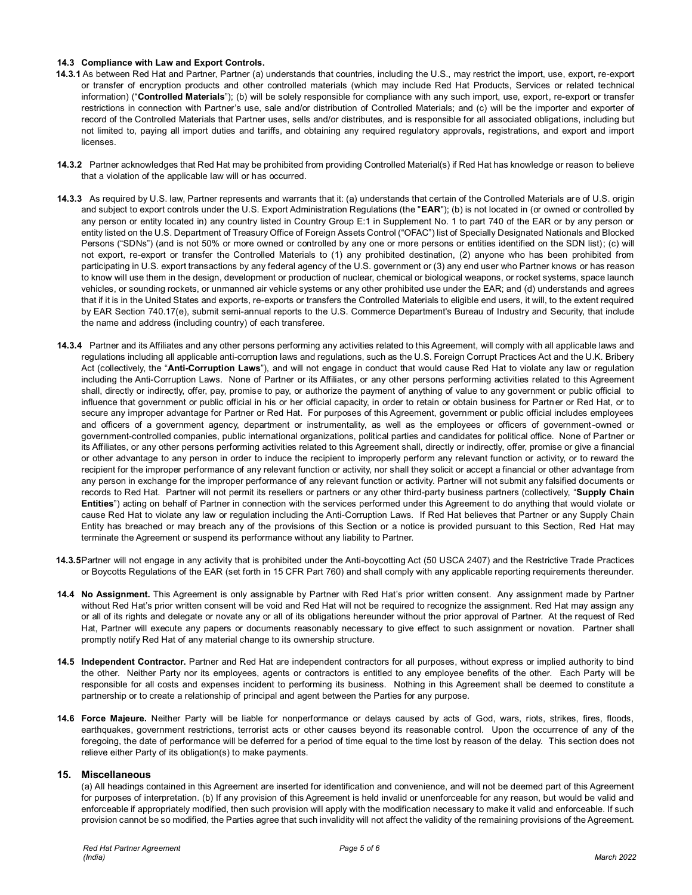## **14.3 Compliance with Law and Export Controls.**

- **14.3.1** As between Red Hat and Partner, Partner (a) understands that countries, including the U.S., may restrict the import, use, export, re-export or transfer of encryption products and other controlled materials (which may include Red Hat Products, Services or related technical information) ("**Controlled Materials**"); (b) will be solely responsible for compliance with any such import, use, export, re-export or transfer restrictions in connection with Partner's use, sale and/or distribution of Controlled Materials; and (c) will be the importer and exporter of record of the Controlled Materials that Partner uses, sells and/or distributes, and is responsible for all associated obligations, including but not limited to, paying all import duties and tariffs, and obtaining any required regulatory approvals, registrations, and export and import licenses.
- **14.3.2** Partner acknowledges that Red Hat may be prohibited from providing Controlled Material(s) if Red Hat has knowledge or reason to believe that a violation of the applicable law will or has occurred.
- **14.3.3** As required by U.S. law, Partner represents and warrants that it: (a) understands that certain of the Controlled Materials are of U.S. origin and subject to export controls under the U.S. Export Administration Regulations (the "**EAR**"); (b) is not located in (or owned or controlled by any person or entity located in) any country listed in Country Group E:1 in Supplement No. 1 to part 740 of the EAR or by any person or entity listed on the U.S. Department of Treasury Office of Foreign Assets Control ("OFAC") list of Specially Designated Nationals and Blocked Persons ("SDNs") (and is not 50% or more owned or controlled by any one or more persons or entities identified on the SDN list); (c) will not export, re-export or transfer the Controlled Materials to (1) any prohibited destination, (2) anyone who has been prohibited from participating in U.S. export transactions by any federal agency of the U.S. government or (3) any end user who Partner knows or has reason to know will use them in the design, development or production of nuclear, chemical or biological weapons, or rocket systems, space launch vehicles, or sounding rockets, or unmanned air vehicle systems or any other prohibited use under the EAR; and (d) understands and agrees that if it is in the United States and exports, re-exports or transfers the Controlled Materials to eligible end users, it will, to the extent required by EAR Section 740.17(e), submit semi-annual reports to the U.S. Commerce Department's Bureau of Industry and Security, that include the name and address (including country) of each transferee.
- **14.3.4** Partner and its Affiliates and any other persons performing any activities related to this Agreement, will comply with all applicable laws and regulations including all applicable anti-corruption laws and regulations, such as the U.S. Foreign Corrupt Practices Act and the U.K. Bribery Act (collectively, the "**Anti-Corruption Laws**"), and will not engage in conduct that would cause Red Hat to violate any law or regulation including the Anti-Corruption Laws. None of Partner or its Affiliates, or any other persons performing activities related to this Agreement shall, directly or indirectly, offer, pay, promise to pay, or authorize the payment of anything of value to any government or public official to influence that government or public official in his or her official capacity, in order to retain or obtain business for Partner or Red Hat, or to secure any improper advantage for Partner or Red Hat. For purposes of this Agreement, government or public official includes employees and officers of a government agency, department or instrumentality, as well as the employees or officers of government-owned or government-controlled companies, public international organizations, political parties and candidates for political office. None of Partner or its Affiliates, or any other persons performing activities related to this Agreement shall, directly or indirectly, offer, promise or give a financial or other advantage to any person in order to induce the recipient to improperly perform any relevant function or activity, or to reward the recipient for the improper performance of any relevant function or activity, nor shall they solicit or accept a financial or other advantage from any person in exchange for the improper performance of any relevant function or activity. Partner will not submit any falsified documents or records to Red Hat. Partner will not permit its resellers or partners or any other third-party business partners (collectively, "**Supply Chain Entities**") acting on behalf of Partner in connection with the services performed under this Agreement to do anything that would violate or cause Red Hat to violate any law or regulation including the Anti-Corruption Laws. If Red Hat believes that Partner or any Supply Chain Entity has breached or may breach any of the provisions of this Section or a notice is provided pursuant to this Section, Red Hat may terminate the Agreement or suspend its performance without any liability to Partner.
- **14.3.5**Partner will not engage in any activity that is prohibited under the Anti-boycotting Act (50 USCA 2407) and the Restrictive Trade Practices or Boycotts Regulations of the EAR (set forth in 15 CFR Part 760) and shall comply with any applicable reporting requirements thereunder.
- **14.4 No Assignment.** This Agreement is only assignable by Partner with Red Hat's prior written consent. Any assignment made by Partner without Red Hat's prior written consent will be void and Red Hat will not be required to recognize the assignment. Red Hat may assign any or all of its rights and delegate or novate any or all of its obligations hereunder without the prior approval of Partner. At the request of Red Hat, Partner will execute any papers or documents reasonably necessary to give effect to such assignment or novation. Partner shall promptly notify Red Hat of any material change to its ownership structure.
- **14.5 Independent Contractor.** Partner and Red Hat are independent contractors for all purposes, without express or implied authority to bind the other. Neither Party nor its employees, agents or contractors is entitled to any employee benefits of the other. Each Party will be responsible for all costs and expenses incident to performing its business. Nothing in this Agreement shall be deemed to constitute a partnership or to create a relationship of principal and agent between the Parties for any purpose.
- **14.6 Force Majeure.** Neither Party will be liable for nonperformance or delays caused by acts of God, wars, riots, strikes, fires, floods, earthquakes, government restrictions, terrorist acts or other causes beyond its reasonable control. Upon the occurrence of any of the foregoing, the date of performance will be deferred for a period of time equal to the time lost by reason of the delay. This section does not relieve either Party of its obligation(s) to make payments.

## **15. Miscellaneous**

(a) All headings contained in this Agreement are inserted for identification and convenience, and will not be deemed part of this Agreement for purposes of interpretation. (b) If any provision of this Agreement is held invalid or unenforceable for any reason, but would be valid and enforceable if appropriately modified, then such provision will apply with the modification necessary to make it valid and enforceable. If such provision cannot be so modified, the Parties agree that such invalidity will not affect the validity of the remaining provisions of the Agreement.